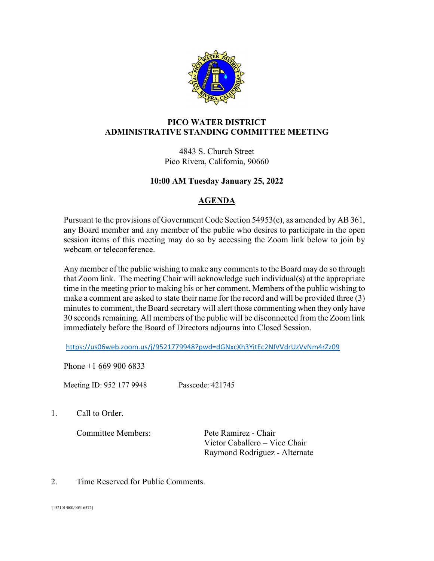

## **PICO WATER DISTRICT ADMINISTRATIVE STANDING COMMITTEE MEETING**

4843 S. Church Street Pico Rivera, California, 90660

## **10:00 AM Tuesday January 25, 2022**

## **AGENDA**

Pursuant to the provisions of Government Code Section 54953(e), as amended by AB 361, any Board member and any member of the public who desires to participate in the open session items of this meeting may do so by accessing the Zoom link below to join by webcam or teleconference.

Any member of the public wishing to make any comments to the Board may do so through that Zoom link. The meeting Chair will acknowledge such individual(s) at the appropriate time in the meeting prior to making his or her comment. Members of the public wishing to make a comment are asked to state their name for the record and will be provided three (3) minutes to comment, the Board secretary will alert those commenting when they only have 30 seconds remaining. All members of the public will be disconnected from the Zoom link immediately before the Board of Directors adjourns into Closed Session.

<https://us06web.zoom.us/j/9521779948?pwd=dGNxcXh3YitEc2NIVVdrUzVvNm4rZz09>

Phone +1 669 900 6833

Meeting ID: 952 177 9948 Passcode: 421745

1. Call to Order.

Committee Members: Pete Ramirez - Chair

Victor Caballero – Vice Chair Raymond Rodriguez - Alternate

2. Time Reserved for Public Comments.